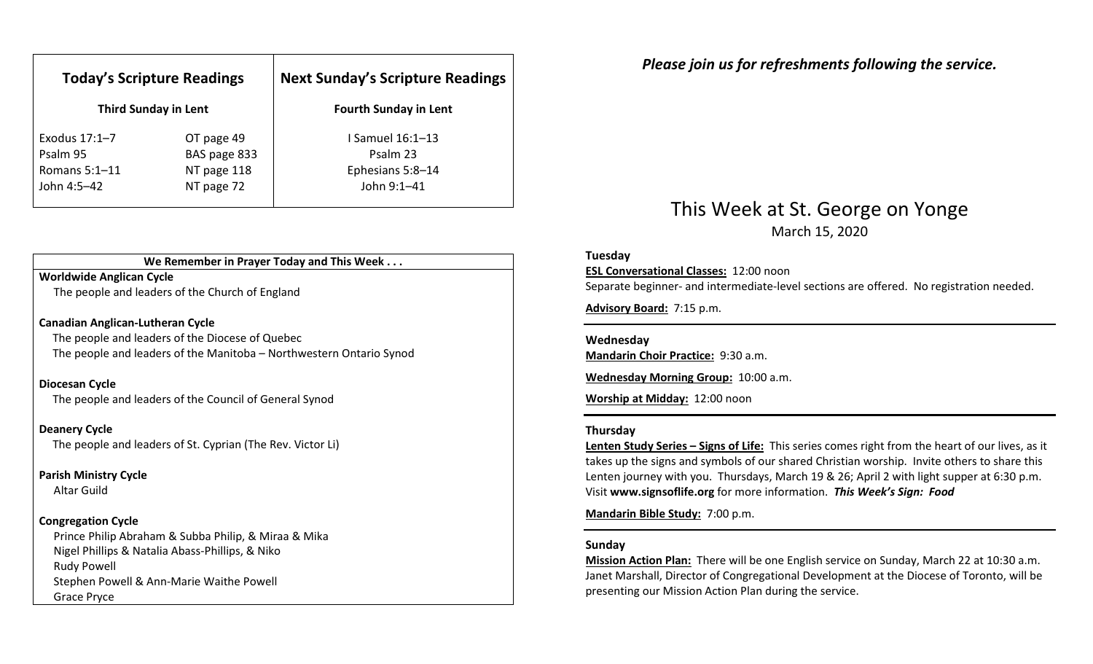| <b>Today's Scripture Readings</b><br><b>Third Sunday in Lent</b> |              | <b>Next Sunday's Scripture Readings</b><br><b>Fourth Sunday in Lent</b> |
|------------------------------------------------------------------|--------------|-------------------------------------------------------------------------|
|                                                                  |              |                                                                         |
| Psalm 95                                                         | BAS page 833 | Psalm 23                                                                |
| Romans $5:1-11$                                                  | NT page 118  | Ephesians 5:8-14                                                        |
| John 4:5–42                                                      | NT page 72   | John 9:1-41                                                             |

## We Remember in Prayer Today and This Week . . .

### Worldwide Anglican Cycle

The people and leaders of the Church of England

#### Canadian Anglican-Lutheran Cycle

The people and leaders of the Diocese of Quebec The people and leaders of the Manitoba – Northwestern Ontario Synod

#### Diocesan Cycle

The people and leaders of the Council of General Synod

#### Deanery Cycle

The people and leaders of St. Cyprian (The Rev. Victor Li)

#### Parish Ministry Cycle

Altar Guild

#### Congregation Cycle

Prince Philip Abraham & Subba Philip, & Miraa & Mika Nigel Phillips & Natalia Abass-Phillips, & Niko Rudy Powell Stephen Powell & Ann-Marie Waithe Powell Grace Pryce

## Please join us for refreshments following the service.

## This Week at St. George on Yonge March 15, 2020

#### Tuesday

ESL Conversational Classes: 12:00 noon

Separate beginner- and intermediate-level sections are offered. No registration needed.

Advisory Board: 7:15 p.m.

#### Wednesday

Mandarin Choir Practice: 9:30 a.m.

Wednesday Morning Group: 10:00 a.m.

Worship at Midday: 12:00 noon

#### Thursday

Lenten Study Series - Signs of Life: This series comes right from the heart of our lives, as it takes up the signs and symbols of our shared Christian worship. Invite others to share this Lenten journey with you. Thursdays, March 19 & 26; April 2 with light supper at 6:30 p.m. Visit www.signsoflife.org for more information. This Week's Sign: Food

Mandarin Bible Study: 7:00 p.m.

### Sunday

Mission Action Plan: There will be one English service on Sunday, March 22 at 10:30 a.m. Janet Marshall, Director of Congregational Development at the Diocese of Toronto, will be presenting our Mission Action Plan during the service.